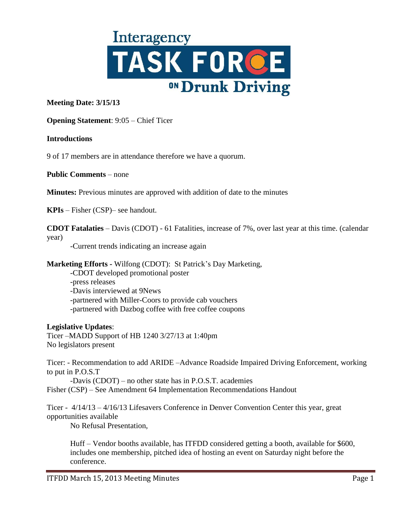

# **Meeting Date: 3/15/13**

### **Opening Statement**: 9:05 – Chief Ticer

#### **Introductions**

9 of 17 members are in attendance therefore we have a quorum.

**Public Comments** – none

**Minutes:** Previous minutes are approved with addition of date to the minutes

**KPIs** – Fisher (CSP)– see handout.

**CDOT Fatalaties** – Davis (CDOT) - 61 Fatalities, increase of 7%, over last year at this time. (calendar year)

-Current trends indicating an increase again

**Marketing Efforts -** Wilfong (CDOT): St Patrick's Day Marketing,

-CDOT developed promotional poster -press releases -Davis interviewed at 9News -partnered with Miller-Coors to provide cab vouchers -partnered with Dazbog coffee with free coffee coupons

#### **Legislative Updates**:

Ticer –MADD Support of HB 1240 3/27/13 at 1:40pm No legislators present

Ticer: - Recommendation to add ARIDE –Advance Roadside Impaired Driving Enforcement, working to put in P.O.S.T

-Davis (CDOT) – no other state has in P.O.S.T. academies Fisher (CSP) – See Amendment 64 Implementation Recommendations Handout

Ticer - 4/14/13 – 4/16/13 Lifesavers Conference in Denver Convention Center this year, great opportunities available

No Refusal Presentation,

Huff – Vendor booths available, has ITFDD considered getting a booth, available for \$600, includes one membership, pitched idea of hosting an event on Saturday night before the conference.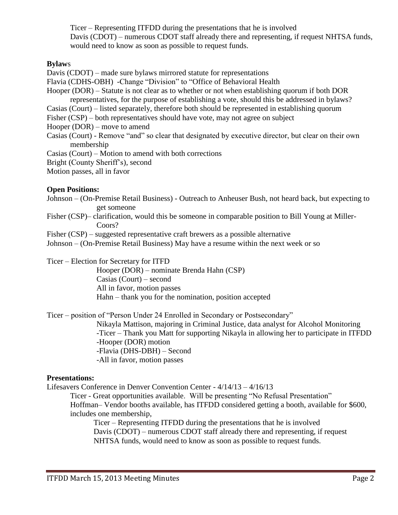Ticer – Representing ITFDD during the presentations that he is involved Davis (CDOT) – numerous CDOT staff already there and representing, if request NHTSA funds, would need to know as soon as possible to request funds.

## **Bylaw**s

Davis (CDOT) – made sure bylaws mirrored statute for representations

- Flavia (CDHS-OBH) -Change "Division" to "Office of Behavioral Health
- Hooper (DOR) Statute is not clear as to whether or not when establishing quorum if both DOR representatives, for the purpose of establishing a vote, should this be addressed in bylaws?
- Casias (Court) listed separately, therefore both should be represented in establishing quorum
- Fisher (CSP) both representatives should have vote, may not agree on subject
- Hooper (DOR) move to amend
- Casias (Court) Remove "and" so clear that designated by executive director, but clear on their own membership
- Casias (Court) Motion to amend with both corrections
- Bright (County Sheriff's), second

Motion passes, all in favor

### **Open Positions:**

- Johnson (On-Premise Retail Business) Outreach to Anheuser Bush, not heard back, but expecting to get someone
- Fisher (CSP)– clarification, would this be someone in comparable position to Bill Young at Miller-Coors?
- Fisher (CSP) suggested representative craft brewers as a possible alternative

Johnson – (On-Premise Retail Business) May have a resume within the next week or so

Ticer – Election for Secretary for ITFD

Hooper (DOR) – nominate Brenda Hahn (CSP) Casias (Court) – second All in favor, motion passes Hahn – thank you for the nomination, position accepted

Ticer – position of "Person Under 24 Enrolled in Secondary or Postsecondary"

Nikayla Mattison, majoring in Criminal Justice, data analyst for Alcohol Monitoring -Ticer – Thank you Matt for supporting Nikayla in allowing her to participate in ITFDD -Hooper (DOR) motion -Flavia (DHS-DBH) – Second -All in favor, motion passes

# **Presentations:**

Lifesavers Conference in Denver Convention Center - 4/14/13 – 4/16/13

Ticer - Great opportunities available. Will be presenting "No Refusal Presentation" Hoffman– Vendor booths available, has ITFDD considered getting a booth, available for \$600, includes one membership,

Ticer – Representing ITFDD during the presentations that he is involved Davis (CDOT) – numerous CDOT staff already there and representing, if request NHTSA funds, would need to know as soon as possible to request funds.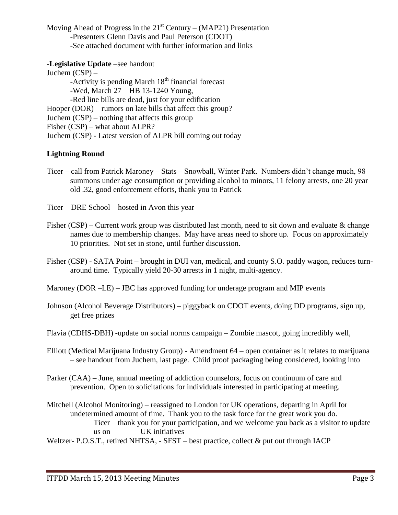Moving Ahead of Progress in the  $21<sup>st</sup>$  Century – (MAP21) Presentation -Presenters Glenn Davis and Paul Peterson (CDOT) -See attached document with further information and links

## -**Legislative Update** –see handout

Juchem (CSP) –  $-Activity$  is pending March  $18<sup>th</sup>$  financial forecast -Wed, March 27 – HB 13-1240 Young, -Red line bills are dead, just for your edification Hooper (DOR) – rumors on late bills that affect this group? Juchem (CSP) – nothing that affects this group Fisher (CSP) – what about ALPR? Juchem (CSP) - Latest version of ALPR bill coming out today

# **Lightning Round**

- Ticer call from Patrick Maroney Stats Snowball, Winter Park. Numbers didn't change much, 98 summons under age consumption or providing alcohol to minors, 11 felony arrests, one 20 year old .32, good enforcement efforts, thank you to Patrick
- Ticer DRE School hosted in Avon this year
- Fisher (CSP) Current work group was distributed last month, need to sit down and evaluate  $\&$  change names due to membership changes. May have areas need to shore up. Focus on approximately 10 priorities. Not set in stone, until further discussion.
- Fisher (CSP) SATA Point brought in DUI van, medical, and county S.O. paddy wagon, reduces turnaround time. Typically yield 20-30 arrests in 1 night, multi-agency.
- Maroney (DOR –LE) JBC has approved funding for underage program and MIP events
- Johnson (Alcohol Beverage Distributors) piggyback on CDOT events, doing DD programs, sign up, get free prizes
- Flavia (CDHS-DBH) -update on social norms campaign Zombie mascot, going incredibly well,
- Elliott (Medical Marijuana Industry Group) Amendment 64 open container as it relates to marijuana – see handout from Juchem, last page. Child proof packaging being considered, looking into
- Parker (CAA) June, annual meeting of addiction counselors, focus on continuum of care and prevention. Open to solicitations for individuals interested in participating at meeting.
- Mitchell (Alcohol Monitoring) reassigned to London for UK operations, departing in April for undetermined amount of time. Thank you to the task force for the great work you do. Ticer – thank you for your participation, and we welcome you back as a visitor to update us on UK initiatives
- Weltzer- P.O.S.T., retired NHTSA, SFST best practice, collect & put out through IACP